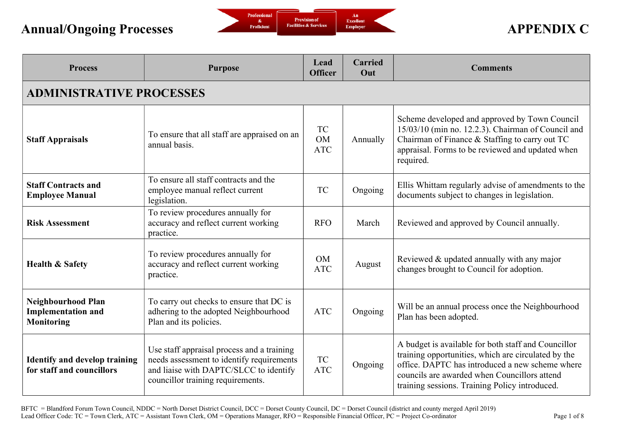

| <b>Process</b>                                                              | <b>Purpose</b>                                                                                                                                                         | Lead<br><b>Officer</b>               | <b>Carried</b><br>Out | <b>Comments</b>                                                                                                                                                                                                                                                 |  |  |
|-----------------------------------------------------------------------------|------------------------------------------------------------------------------------------------------------------------------------------------------------------------|--------------------------------------|-----------------------|-----------------------------------------------------------------------------------------------------------------------------------------------------------------------------------------------------------------------------------------------------------------|--|--|
| <b>ADMINISTRATIVE PROCESSES</b>                                             |                                                                                                                                                                        |                                      |                       |                                                                                                                                                                                                                                                                 |  |  |
| <b>Staff Appraisals</b>                                                     | To ensure that all staff are appraised on an<br>annual basis.                                                                                                          | <b>TC</b><br><b>OM</b><br><b>ATC</b> | Annually              | Scheme developed and approved by Town Council<br>15/03/10 (min no. 12.2.3). Chairman of Council and<br>Chairman of Finance & Staffing to carry out TC<br>appraisal. Forms to be reviewed and updated when<br>required.                                          |  |  |
| <b>Staff Contracts and</b><br><b>Employee Manual</b>                        | To ensure all staff contracts and the<br>employee manual reflect current<br>legislation.                                                                               | <b>TC</b>                            | Ongoing               | Ellis Whittam regularly advise of amendments to the<br>documents subject to changes in legislation.                                                                                                                                                             |  |  |
| <b>Risk Assessment</b>                                                      | To review procedures annually for<br>accuracy and reflect current working<br>practice.                                                                                 | <b>RFO</b>                           | March                 | Reviewed and approved by Council annually.                                                                                                                                                                                                                      |  |  |
| <b>Health &amp; Safety</b>                                                  | To review procedures annually for<br>accuracy and reflect current working<br>practice.                                                                                 | <b>OM</b><br><b>ATC</b>              | August                | Reviewed & updated annually with any major<br>changes brought to Council for adoption.                                                                                                                                                                          |  |  |
| <b>Neighbourhood Plan</b><br><b>Implementation and</b><br><b>Monitoring</b> | To carry out checks to ensure that DC is<br>adhering to the adopted Neighbourhood<br>Plan and its policies.                                                            | <b>ATC</b>                           | Ongoing               | Will be an annual process once the Neighbourhood<br>Plan has been adopted.                                                                                                                                                                                      |  |  |
| <b>Identify and develop training</b><br>for staff and councillors           | Use staff appraisal process and a training<br>needs assessment to identify requirements<br>and liaise with DAPTC/SLCC to identify<br>councillor training requirements. | <b>TC</b><br>$\rm{ATC}$              | Ongoing               | A budget is available for both staff and Councillor<br>training opportunities, which are circulated by the<br>office. DAPTC has introduced a new scheme where<br>councils are awarded when Councillors attend<br>training sessions. Training Policy introduced. |  |  |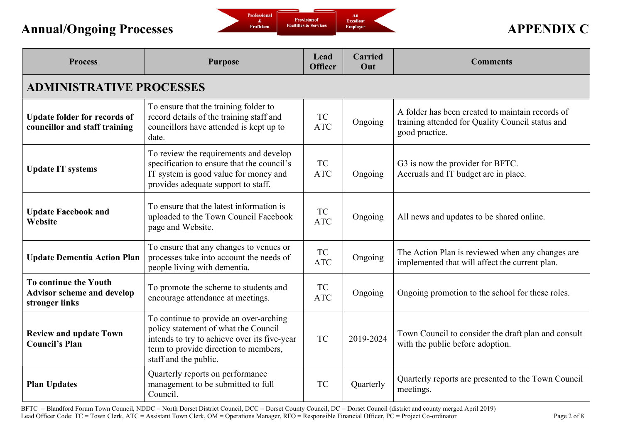

| <b>Process</b>                                                               | <b>Purpose</b>                                                                                                                                                                                   | Lead<br><b>Officer</b>  | <b>Carried</b><br>Out | <b>Comments</b>                                                                                                        |  |  |  |
|------------------------------------------------------------------------------|--------------------------------------------------------------------------------------------------------------------------------------------------------------------------------------------------|-------------------------|-----------------------|------------------------------------------------------------------------------------------------------------------------|--|--|--|
|                                                                              | <b>ADMINISTRATIVE PROCESSES</b>                                                                                                                                                                  |                         |                       |                                                                                                                        |  |  |  |
| <b>Update folder for records of</b><br>councillor and staff training         | To ensure that the training folder to<br>record details of the training staff and<br>councillors have attended is kept up to<br>date.                                                            | <b>TC</b><br><b>ATC</b> | Ongoing               | A folder has been created to maintain records of<br>training attended for Quality Council status and<br>good practice. |  |  |  |
| <b>Update IT systems</b>                                                     | To review the requirements and develop<br>specification to ensure that the council's<br>IT system is good value for money and<br>provides adequate support to staff.                             | <b>TC</b><br><b>ATC</b> | Ongoing               | G3 is now the provider for BFTC.<br>Accruals and IT budget are in place.                                               |  |  |  |
| <b>Update Facebook and</b><br>Website                                        | To ensure that the latest information is<br>uploaded to the Town Council Facebook<br>page and Website.                                                                                           | <b>TC</b><br><b>ATC</b> | Ongoing               | All news and updates to be shared online.                                                                              |  |  |  |
| <b>Update Dementia Action Plan</b>                                           | To ensure that any changes to venues or<br>processes take into account the needs of<br>people living with dementia.                                                                              | <b>TC</b><br><b>ATC</b> | Ongoing               | The Action Plan is reviewed when any changes are<br>implemented that will affect the current plan.                     |  |  |  |
| To continue the Youth<br><b>Advisor scheme and develop</b><br>stronger links | To promote the scheme to students and<br>encourage attendance at meetings.                                                                                                                       | <b>TC</b><br><b>ATC</b> | Ongoing               | Ongoing promotion to the school for these roles.                                                                       |  |  |  |
| <b>Review and update Town</b><br><b>Council's Plan</b>                       | To continue to provide an over-arching<br>policy statement of what the Council<br>intends to try to achieve over its five-year<br>term to provide direction to members,<br>staff and the public. | <b>TC</b>               | 2019-2024             | Town Council to consider the draft plan and consult<br>with the public before adoption.                                |  |  |  |
| <b>Plan Updates</b>                                                          | Quarterly reports on performance<br>management to be submitted to full<br>Council.                                                                                                               | <b>TC</b>               | Quarterly             | Quarterly reports are presented to the Town Council<br>meetings.                                                       |  |  |  |

BFTC = Blandford Forum Town Council, NDDC = North Dorset District Council, DCC = Dorset County Council, DC = Dorset Council (district and county merged April 2019) Lead Officer Code: TC = Town Clerk, ATC = Assistant Town Clerk, OM = Operations Manager, RFO = Responsible Financial Officer, PC = Project Co-ordinator Page 2 of 8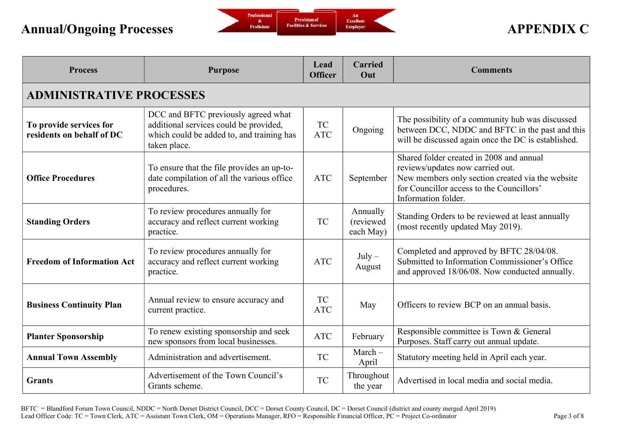

| <b>Process</b>                                       | <b>Purpose</b>                                                                                                                             | Lead<br><b>Officer</b>  | <b>Carried</b><br>Out              | <b>Comments</b>                                                                                                                                                                                      |
|------------------------------------------------------|--------------------------------------------------------------------------------------------------------------------------------------------|-------------------------|------------------------------------|------------------------------------------------------------------------------------------------------------------------------------------------------------------------------------------------------|
| <b>ADMINISTRATIVE PROCESSES</b>                      |                                                                                                                                            |                         |                                    |                                                                                                                                                                                                      |
| To provide services for<br>residents on behalf of DC | DCC and BFTC previously agreed what<br>additional services could be provided,<br>which could be added to, and training has<br>taken place. | <b>TC</b><br><b>ATC</b> | Ongoing                            | The possibility of a community hub was discussed<br>between DCC, NDDC and BFTC in the past and this<br>will be discussed again once the DC is established.                                           |
| <b>Office Procedures</b>                             | To ensure that the file provides an up-to-<br>date compilation of all the various office<br>procedures.                                    | <b>ATC</b>              | September                          | Shared folder created in 2008 and annual<br>reviews/updates now carried out.<br>New members only section created via the website<br>for Councillor access to the Councillors'<br>Information folder. |
| <b>Standing Orders</b>                               | To review procedures annually for<br>accuracy and reflect current working<br>practice.                                                     | <b>TC</b>               | Annually<br>(reviewed<br>each May) | Standing Orders to be reviewed at least annually<br>(most recently updated May 2019).                                                                                                                |
| <b>Freedom of Information Act</b>                    | To review procedures annually for<br>accuracy and reflect current working<br>practice.                                                     | <b>ATC</b>              | $July -$<br>August                 | Completed and approved by BFTC 28/04/08.<br>Submitted to Information Commissioner's Office<br>and approved 18/06/08. Now conducted annually.                                                         |
| <b>Business Continuity Plan</b>                      | Annual review to ensure accuracy and<br>current practice.                                                                                  | TC<br><b>ATC</b>        | May                                | Officers to review BCP on an annual basis.                                                                                                                                                           |
| <b>Planter Sponsorship</b>                           | To renew existing sponsorship and seek<br>new sponsors from local businesses.                                                              | <b>ATC</b>              | February                           | Responsible committee is Town & General<br>Purposes. Staff carry out annual update.                                                                                                                  |
| <b>Annual Town Assembly</b>                          | Administration and advertisement.                                                                                                          | <b>TC</b>               | $March-$<br>April                  | Statutory meeting held in April each year.                                                                                                                                                           |
| <b>Grants</b>                                        | Advertisement of the Town Council's<br>Grants scheme.                                                                                      | <b>TC</b>               | Throughout<br>the year             | Advertised in local media and social media.                                                                                                                                                          |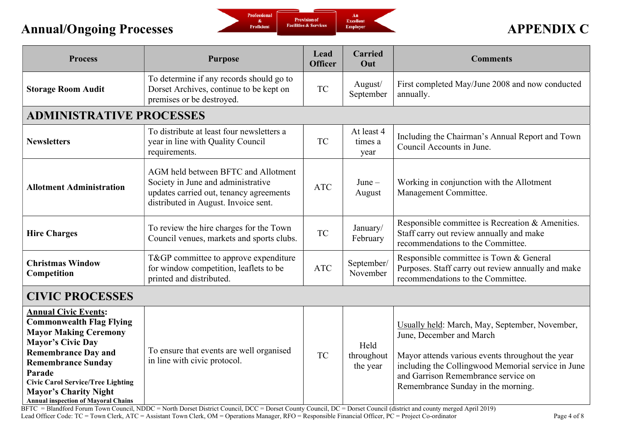

| <b>Process</b>                                                                                                                                                                                                                                                                                                            | <b>Purpose</b>                                                                                                                                               | Lead<br><b>Officer</b> | <b>Carried</b><br>Out          | <b>Comments</b>                                                                                                                                                                                                                                                   |
|---------------------------------------------------------------------------------------------------------------------------------------------------------------------------------------------------------------------------------------------------------------------------------------------------------------------------|--------------------------------------------------------------------------------------------------------------------------------------------------------------|------------------------|--------------------------------|-------------------------------------------------------------------------------------------------------------------------------------------------------------------------------------------------------------------------------------------------------------------|
| <b>Storage Room Audit</b>                                                                                                                                                                                                                                                                                                 | To determine if any records should go to<br>Dorset Archives, continue to be kept on<br>premises or be destroyed.                                             | <b>TC</b>              | August/<br>September           | First completed May/June 2008 and now conducted<br>annually.                                                                                                                                                                                                      |
| <b>ADMINISTRATIVE PROCESSES</b>                                                                                                                                                                                                                                                                                           |                                                                                                                                                              |                        |                                |                                                                                                                                                                                                                                                                   |
| <b>Newsletters</b>                                                                                                                                                                                                                                                                                                        | To distribute at least four newsletters a<br>year in line with Quality Council<br>requirements.                                                              | <b>TC</b>              | At least 4<br>times a<br>year  | Including the Chairman's Annual Report and Town<br>Council Accounts in June.                                                                                                                                                                                      |
| <b>Allotment Administration</b>                                                                                                                                                                                                                                                                                           | AGM held between BFTC and Allotment<br>Society in June and administrative<br>updates carried out, tenancy agreements<br>distributed in August. Invoice sent. | <b>ATC</b>             | $June -$<br>August             | Working in conjunction with the Allotment<br>Management Committee.                                                                                                                                                                                                |
| <b>Hire Charges</b>                                                                                                                                                                                                                                                                                                       | To review the hire charges for the Town<br>Council venues, markets and sports clubs.                                                                         | <b>TC</b>              | January/<br>February           | Responsible committee is Recreation & Amenities.<br>Staff carry out review annually and make<br>recommendations to the Committee.                                                                                                                                 |
| <b>Christmas Window</b><br>Competition                                                                                                                                                                                                                                                                                    | T&GP committee to approve expenditure<br>for window competition, leaflets to be<br>printed and distributed.                                                  | <b>ATC</b>             | September/<br>November         | Responsible committee is Town & General<br>Purposes. Staff carry out review annually and make<br>recommendations to the Committee.                                                                                                                                |
| <b>CIVIC PROCESSES</b>                                                                                                                                                                                                                                                                                                    |                                                                                                                                                              |                        |                                |                                                                                                                                                                                                                                                                   |
| <b>Annual Civic Events:</b><br><b>Commonwealth Flag Flying</b><br><b>Mayor Making Ceremony</b><br><b>Mayor's Civic Day</b><br><b>Remembrance Day and</b><br><b>Remembrance Sunday</b><br>Parade<br><b>Civic Carol Service/Tree Lighting</b><br><b>Mayor's Charity Night</b><br><b>Annual inspection of Mayoral Chains</b> | To ensure that events are well organised<br>in line with civic protocol.                                                                                     | <b>TC</b>              | Held<br>throughout<br>the year | Usually held: March, May, September, November,<br>June, December and March<br>Mayor attends various events throughout the year<br>including the Collingwood Memorial service in June<br>and Garrison Remembrance service on<br>Remembrance Sunday in the morning. |

BFTC = Blandford Forum Town Council, NDDC = North Dorset District Council, DCC = Dorset County Council, DC = Dorset Council (district and county merged April 2019) Lead Officer Code: TC = Town Clerk, ATC = Assistant Town Clerk, OM = Operations Manager, RFO = Responsible Financial Officer, PC = Project Co-ordinator Page 4 of 8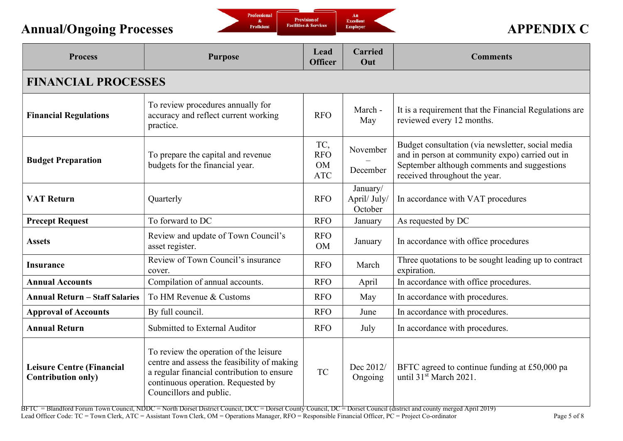

| <b>Process</b>                                                | <b>Purpose</b>                                                                                                                                                                                       | Lead<br><b>Officer</b>                       | <b>Carried</b><br>Out               | <b>Comments</b>                                                                                                                                                                      |  |  |
|---------------------------------------------------------------|------------------------------------------------------------------------------------------------------------------------------------------------------------------------------------------------------|----------------------------------------------|-------------------------------------|--------------------------------------------------------------------------------------------------------------------------------------------------------------------------------------|--|--|
| <b>FINANCIAL PROCESSES</b>                                    |                                                                                                                                                                                                      |                                              |                                     |                                                                                                                                                                                      |  |  |
| <b>Financial Regulations</b>                                  | To review procedures annually for<br>accuracy and reflect current working<br>practice.                                                                                                               | <b>RFO</b>                                   | March -<br>May                      | It is a requirement that the Financial Regulations are<br>reviewed every 12 months.                                                                                                  |  |  |
| <b>Budget Preparation</b>                                     | To prepare the capital and revenue<br>budgets for the financial year.                                                                                                                                | TC,<br><b>RFO</b><br><b>OM</b><br><b>ATC</b> | November<br>December                | Budget consultation (via newsletter, social media<br>and in person at community expo) carried out in<br>September although comments and suggestions<br>received throughout the year. |  |  |
| <b>VAT Return</b>                                             | Quarterly                                                                                                                                                                                            | <b>RFO</b>                                   | January/<br>April/ July/<br>October | In accordance with VAT procedures                                                                                                                                                    |  |  |
| <b>Precept Request</b>                                        | To forward to DC                                                                                                                                                                                     | <b>RFO</b>                                   | January                             | As requested by DC                                                                                                                                                                   |  |  |
| <b>Assets</b>                                                 | Review and update of Town Council's<br>asset register.                                                                                                                                               | <b>RFO</b><br><b>OM</b>                      | January                             | In accordance with office procedures                                                                                                                                                 |  |  |
| <b>Insurance</b>                                              | Review of Town Council's insurance<br>cover.                                                                                                                                                         | <b>RFO</b>                                   | March                               | Three quotations to be sought leading up to contract<br>expiration.                                                                                                                  |  |  |
| <b>Annual Accounts</b>                                        | Compilation of annual accounts.                                                                                                                                                                      | <b>RFO</b>                                   | April                               | In accordance with office procedures.                                                                                                                                                |  |  |
| <b>Annual Return - Staff Salaries</b>                         | To HM Revenue & Customs                                                                                                                                                                              | <b>RFO</b>                                   | May                                 | In accordance with procedures.                                                                                                                                                       |  |  |
| <b>Approval of Accounts</b>                                   | By full council.                                                                                                                                                                                     | <b>RFO</b>                                   | June                                | In accordance with procedures.                                                                                                                                                       |  |  |
| <b>Annual Return</b>                                          | Submitted to External Auditor                                                                                                                                                                        | <b>RFO</b>                                   | July                                | In accordance with procedures.                                                                                                                                                       |  |  |
| <b>Leisure Centre (Financial</b><br><b>Contribution only)</b> | To review the operation of the leisure<br>centre and assess the feasibility of making<br>a regular financial contribution to ensure<br>continuous operation. Requested by<br>Councillors and public. | <b>TC</b>                                    | Dec 2012/<br>Ongoing                | BFTC agreed to continue funding at £50,000 pa<br>until 31 <sup>st</sup> March 2021.                                                                                                  |  |  |

 $BFTC = B$ landford Forum Town Council, NDDC = North Dorset District Council, DCC = Dorset Council, DC = Dorset Council (district and county merged April 2019) Lead Officer Code: TC = Town Clerk, ATC = Assistant Town Clerk, OM = Operations Manager, RFO = Responsible Financial Officer, PC = Project Co-ordinator Page 5 of 8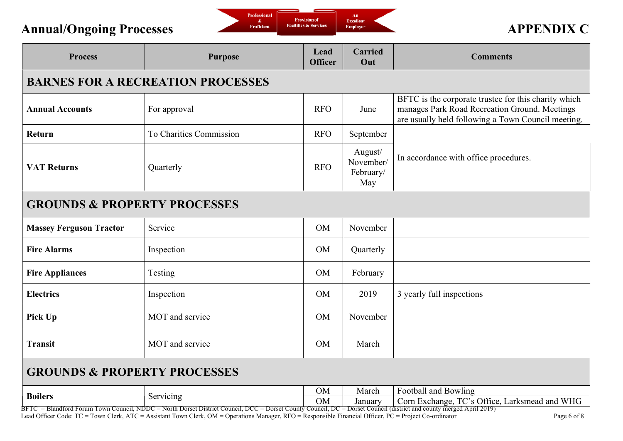

| <b>Process</b>                           | <b>Purpose</b>          | Lead<br><b>Officer</b> | <b>Carried</b><br>Out                    | <b>Comments</b>                                                                                                                                                                                                                                           |  |  |
|------------------------------------------|-------------------------|------------------------|------------------------------------------|-----------------------------------------------------------------------------------------------------------------------------------------------------------------------------------------------------------------------------------------------------------|--|--|
| <b>BARNES FOR A RECREATION PROCESSES</b> |                         |                        |                                          |                                                                                                                                                                                                                                                           |  |  |
| <b>Annual Accounts</b>                   | For approval            | <b>RFO</b>             | June                                     | BFTC is the corporate trustee for this charity which<br>manages Park Road Recreation Ground. Meetings<br>are usually held following a Town Council meeting.                                                                                               |  |  |
| <b>Return</b>                            | To Charities Commission | <b>RFO</b>             | September                                |                                                                                                                                                                                                                                                           |  |  |
| <b>VAT Returns</b>                       | Quarterly               | <b>RFO</b>             | August/<br>November/<br>February/<br>May | In accordance with office procedures.                                                                                                                                                                                                                     |  |  |
| <b>GROUNDS &amp; PROPERTY PROCESSES</b>  |                         |                        |                                          |                                                                                                                                                                                                                                                           |  |  |
| <b>Massey Ferguson Tractor</b>           | Service                 | <b>OM</b>              | November                                 |                                                                                                                                                                                                                                                           |  |  |
| <b>Fire Alarms</b>                       | Inspection              | <b>OM</b>              | Quarterly                                |                                                                                                                                                                                                                                                           |  |  |
| <b>Fire Appliances</b>                   | Testing                 | <b>OM</b>              | February                                 |                                                                                                                                                                                                                                                           |  |  |
| <b>Electrics</b>                         | Inspection              | OM                     | 2019                                     | 3 yearly full inspections                                                                                                                                                                                                                                 |  |  |
| Pick Up                                  | MOT and service         | <b>OM</b>              | November                                 |                                                                                                                                                                                                                                                           |  |  |
| <b>Transit</b>                           | MOT and service         | <b>OM</b>              | March                                    |                                                                                                                                                                                                                                                           |  |  |
| <b>GROUNDS &amp; PROPERTY PROCESSES</b>  |                         |                        |                                          |                                                                                                                                                                                                                                                           |  |  |
| <b>Boilers</b>                           | Servicing               | <b>OM</b>              | March                                    | Football and Bowling<br>But Learning Servicing<br>BFTC = Blandford Forum Town Council, NDDC = North Dorset District Council, DCC = Dorset County Council, DC = Dorset Council, DC = Dorset Council, DC = Dorset Council (district and county merged April |  |  |

Lead Officer Code: TC = Town Clerk, ATC = Assistant Town Clerk, OM = Operations Manager, RFO = Responsible Financial Officer, PC = Project Co-ordinator Page 6 of 8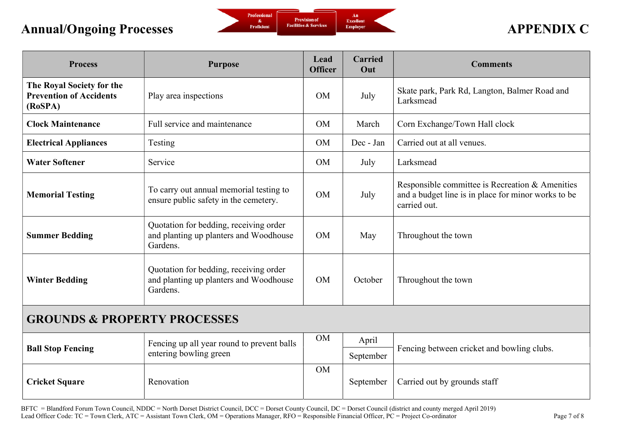

| <b>Process</b>                                                         | <b>Purpose</b>                                                                               | Lead<br><b>Officer</b> | <b>Carried</b><br>Out | <b>Comments</b>                                                                                                        |  |
|------------------------------------------------------------------------|----------------------------------------------------------------------------------------------|------------------------|-----------------------|------------------------------------------------------------------------------------------------------------------------|--|
| The Royal Society for the<br><b>Prevention of Accidents</b><br>(RoSPA) | Play area inspections                                                                        | <b>OM</b>              | July                  | Skate park, Park Rd, Langton, Balmer Road and<br>Larksmead                                                             |  |
| <b>Clock Maintenance</b>                                               | Full service and maintenance                                                                 | <b>OM</b>              | March                 | Corn Exchange/Town Hall clock                                                                                          |  |
| <b>Electrical Appliances</b>                                           | Testing                                                                                      | <b>OM</b>              | Dec - Jan             | Carried out at all venues.                                                                                             |  |
| <b>Water Softener</b>                                                  | Service                                                                                      | <b>OM</b>              | July                  | Larksmead                                                                                                              |  |
| <b>Memorial Testing</b>                                                | To carry out annual memorial testing to<br>ensure public safety in the cemetery.             | <b>OM</b>              | July                  | Responsible committee is Recreation & Amenities<br>and a budget line is in place for minor works to be<br>carried out. |  |
| <b>Summer Bedding</b>                                                  | Quotation for bedding, receiving order<br>and planting up planters and Woodhouse<br>Gardens. | <b>OM</b>              | May                   | Throughout the town                                                                                                    |  |
| <b>Winter Bedding</b>                                                  | Quotation for bedding, receiving order<br>and planting up planters and Woodhouse<br>Gardens. | <b>OM</b>              | October               | Throughout the town                                                                                                    |  |
| <b>GROUNDS &amp; PROPERTY PROCESSES</b>                                |                                                                                              |                        |                       |                                                                                                                        |  |
| <b>Ball Stop Fencing</b>                                               | Fencing up all year round to prevent balls<br>entering bowling green                         | OM                     | April<br>September    | Fencing between cricket and bowling clubs.                                                                             |  |
| <b>Cricket Square</b>                                                  | Renovation                                                                                   | OM                     | September             | Carried out by grounds staff                                                                                           |  |

BFTC = Blandford Forum Town Council, NDDC = North Dorset District Council, DCC = Dorset County Council, DC = Dorset Council (district and county merged April 2019) Lead Officer Code: TC = Town Clerk, ATC = Assistant Town Clerk, OM = Operations Manager, RFO = Responsible Financial Officer, PC = Project Co-ordinator Page 7 of 8